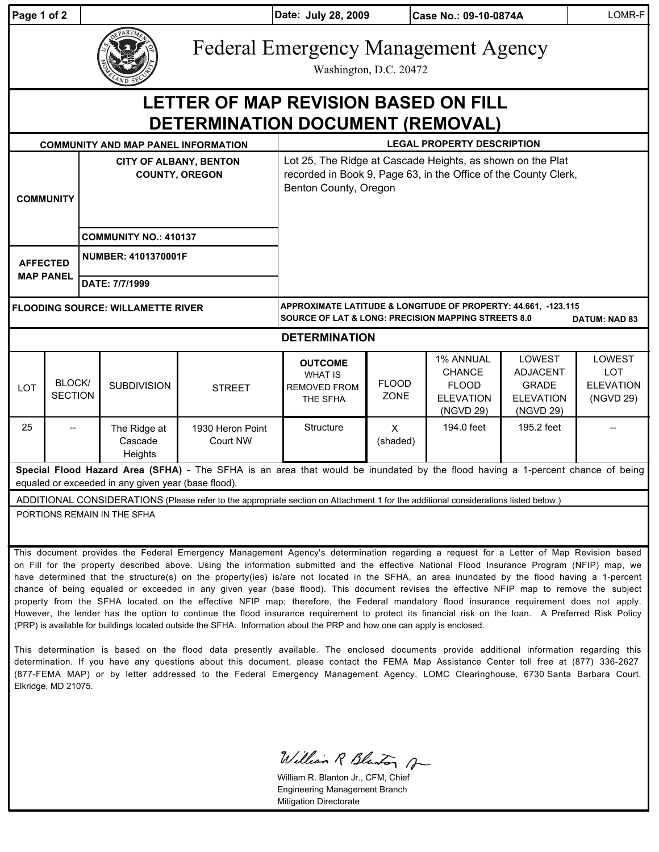| Page 1 of 2                                                                                                                                                                           |                                                                                                                                                                                                                                                                                                                                                                                                                                                                                                                                                                                |                                                        |                                    |                              | Date: July 28, 2009<br>Case No.: 09-10-0874A                                                                                                             |                          |                                                                                    | LOMR-F                                                                            |                                                              |  |
|---------------------------------------------------------------------------------------------------------------------------------------------------------------------------------------|--------------------------------------------------------------------------------------------------------------------------------------------------------------------------------------------------------------------------------------------------------------------------------------------------------------------------------------------------------------------------------------------------------------------------------------------------------------------------------------------------------------------------------------------------------------------------------|--------------------------------------------------------|------------------------------------|------------------------------|----------------------------------------------------------------------------------------------------------------------------------------------------------|--------------------------|------------------------------------------------------------------------------------|-----------------------------------------------------------------------------------|--------------------------------------------------------------|--|
|                                                                                                                                                                                       |                                                                                                                                                                                                                                                                                                                                                                                                                                                                                                                                                                                |                                                        |                                    |                              | <b>Federal Emergency Management Agency</b><br>Washington, D.C. 20472                                                                                     |                          |                                                                                    |                                                                                   |                                                              |  |
| LETTER OF MAP REVISION BASED ON FILL<br>DETERMINATION DOCUMENT (REMOVAL)                                                                                                              |                                                                                                                                                                                                                                                                                                                                                                                                                                                                                                                                                                                |                                                        |                                    |                              |                                                                                                                                                          |                          |                                                                                    |                                                                                   |                                                              |  |
| <b>COMMUNITY AND MAP PANEL INFORMATION</b>                                                                                                                                            |                                                                                                                                                                                                                                                                                                                                                                                                                                                                                                                                                                                |                                                        |                                    |                              | <b>LEGAL PROPERTY DESCRIPTION</b>                                                                                                                        |                          |                                                                                    |                                                                                   |                                                              |  |
| <b>COMMUNITY</b>                                                                                                                                                                      |                                                                                                                                                                                                                                                                                                                                                                                                                                                                                                                                                                                | <b>CITY OF ALBANY, BENTON</b><br><b>COUNTY, OREGON</b> |                                    |                              | Lot 25, The Ridge at Cascade Heights, as shown on the Plat<br>recorded in Book 9, Page 63, in the Office of the County Clerk,<br>Benton County, Oregon   |                          |                                                                                    |                                                                                   |                                                              |  |
|                                                                                                                                                                                       |                                                                                                                                                                                                                                                                                                                                                                                                                                                                                                                                                                                | <b>COMMUNITY NO.: 410137</b>                           |                                    |                              |                                                                                                                                                          |                          |                                                                                    |                                                                                   |                                                              |  |
| <b>AFFECTED</b><br><b>MAP PANEL</b>                                                                                                                                                   |                                                                                                                                                                                                                                                                                                                                                                                                                                                                                                                                                                                | <b>NUMBER: 4101370001F</b>                             |                                    |                              |                                                                                                                                                          |                          |                                                                                    |                                                                                   |                                                              |  |
|                                                                                                                                                                                       |                                                                                                                                                                                                                                                                                                                                                                                                                                                                                                                                                                                | DATE: 7/7/1999                                         |                                    |                              |                                                                                                                                                          |                          |                                                                                    |                                                                                   |                                                              |  |
| <b>FLOODING SOURCE: WILLAMETTE RIVER</b>                                                                                                                                              |                                                                                                                                                                                                                                                                                                                                                                                                                                                                                                                                                                                |                                                        |                                    |                              | APPROXIMATE LATITUDE & LONGITUDE OF PROPERTY: 44.661, -123.115<br><b>SOURCE OF LAT &amp; LONG: PRECISION MAPPING STREETS 8.0</b><br><b>DATUM: NAD 83</b> |                          |                                                                                    |                                                                                   |                                                              |  |
| <b>DETERMINATION</b>                                                                                                                                                                  |                                                                                                                                                                                                                                                                                                                                                                                                                                                                                                                                                                                |                                                        |                                    |                              |                                                                                                                                                          |                          |                                                                                    |                                                                                   |                                                              |  |
| LOT                                                                                                                                                                                   | BLOCK/<br><b>SECTION</b>                                                                                                                                                                                                                                                                                                                                                                                                                                                                                                                                                       |                                                        | <b>SUBDIVISION</b>                 | <b>STREET</b>                | <b>OUTCOME</b><br><b>WHAT IS</b><br><b>REMOVED FROM</b><br>THE SFHA                                                                                      | <b>FLOOD</b><br>ZONE     | <b>1% ANNUAL</b><br><b>CHANCE</b><br><b>FLOOD</b><br><b>ELEVATION</b><br>(NGVD 29) | <b>LOWEST</b><br><b>ADJACENT</b><br><b>GRADE</b><br><b>ELEVATION</b><br>(NGVD 29) | <b>LOWEST</b><br><b>LOT</b><br><b>ELEVATION</b><br>(NGVD 29) |  |
| 25                                                                                                                                                                                    |                                                                                                                                                                                                                                                                                                                                                                                                                                                                                                                                                                                |                                                        | The Ridge at<br>Cascade<br>Heights | 1930 Heron Point<br>Court NW | Structure                                                                                                                                                | $\mathsf{X}$<br>(shaded) | 194.0 feet                                                                         | 195.2 feet                                                                        |                                                              |  |
| Special Flood Hazard Area (SFHA) - The SFHA is an area that would be inundated by the flood having a 1-percent chance of being<br>equaled or exceeded in any given year (base flood). |                                                                                                                                                                                                                                                                                                                                                                                                                                                                                                                                                                                |                                                        |                                    |                              |                                                                                                                                                          |                          |                                                                                    |                                                                                   |                                                              |  |
| ADDITIONAL CONSIDERATIONS (Please refer to the appropriate section on Attachment 1 for the additional considerations listed below.)                                                   |                                                                                                                                                                                                                                                                                                                                                                                                                                                                                                                                                                                |                                                        |                                    |                              |                                                                                                                                                          |                          |                                                                                    |                                                                                   |                                                              |  |
| PORTIONS REMAIN IN THE SFHA                                                                                                                                                           |                                                                                                                                                                                                                                                                                                                                                                                                                                                                                                                                                                                |                                                        |                                    |                              |                                                                                                                                                          |                          |                                                                                    |                                                                                   |                                                              |  |
|                                                                                                                                                                                       | This document provides the Federal Emergency Management Agency's determination regarding a request for a Letter of Map Revision based<br>on Fill for the property described above. Using the information submitted and the effective National Flood Insurance Program (NFIP) map, we<br>have determined that the structure(s) on the property(ies) is/are not located in the SFHA, an area inundated by the flood having a 1-percent<br>chance of being equaled or exceeded in any given year (base flood). This document revises the effective NFIP map to remove the subject |                                                        |                                    |                              |                                                                                                                                                          |                          |                                                                                    |                                                                                   |                                                              |  |

William R Blanton A

William R. Blanton Jr., CFM, Chief Engineering Management Branch Mitigation Directorate

property from the SFHA located on the effective NFIP map; therefore, the Federal mandatory flood insurance requirement does not apply. However, the lender has the option to continue the flood insurance requirement to protect its financial risk on the loan. A Preferred Risk Policy

This determination is based on the flood data presently available. The enclosed documents provide additional information regarding this determination. If you have any questions about this document, please contact the FEMA Map Assistance Center toll free at (877) 336-2627 (877-FEMA MAP) or by letter addressed to the Federal Emergency Management Agency, LOMC Clearinghouse, 6730 Santa Barbara Court,

(PRP) is available for buildings located outside the SFHA. Information about the PRP and how one can apply is enclosed.

Elkridge, MD 21075.